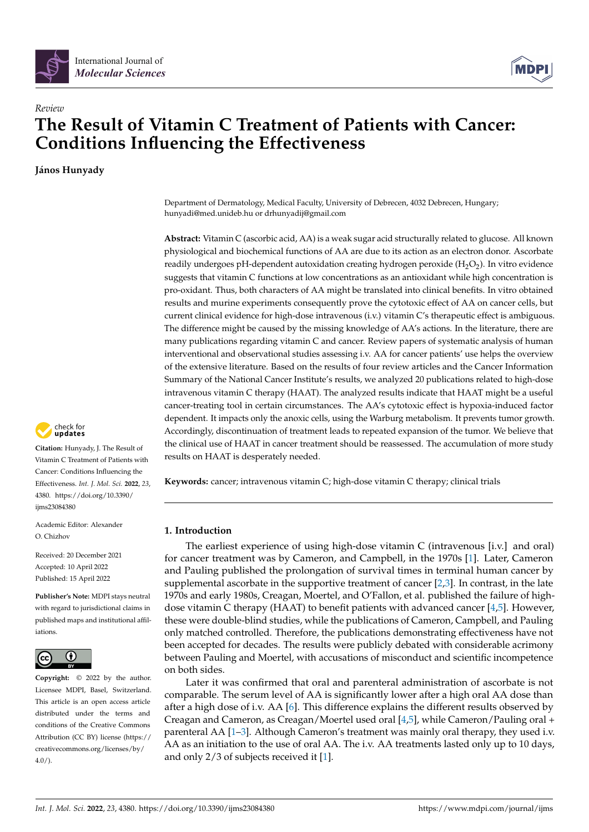

# *Review* **The Result of Vitamin C Treatment of Patients with Cancer: Conditions Influencing the Effectiveness**

**János Hunyady**



**Citation:** Hunyady, J. The Result of Vitamin C Treatment of Patients with Cancer: Conditions Influencing the Effectiveness. *Int. J. Mol. Sci.* **2022**, *23*, 4380. [https://doi.org/10.3390/](https://doi.org/10.3390/ijms23084380) [ijms23084380](https://doi.org/10.3390/ijms23084380)

Academic Editor: Alexander O. Chizhov

Received: 20 December 2021 Accepted: 10 April 2022 Published: 15 April 2022

**Publisher's Note:** MDPI stays neutral with regard to jurisdictional claims in published maps and institutional affiliations.



**Copyright:** © 2022 by the author. Licensee MDPI, Basel, Switzerland. This article is an open access article distributed under the terms and conditions of the Creative Commons Attribution (CC BY) license [\(https://](https://creativecommons.org/licenses/by/4.0/) [creativecommons.org/licenses/by/](https://creativecommons.org/licenses/by/4.0/)  $4.0/$ ).

Department of Dermatology, Medical Faculty, University of Debrecen, 4032 Debrecen, Hungary; hunyadi@med.unideb.hu or drhunyadij@gmail.com

**Abstract:** Vitamin C (ascorbic acid, AA) is a weak sugar acid structurally related to glucose. All known physiological and biochemical functions of AA are due to its action as an electron donor. Ascorbate readily undergoes pH-dependent autoxidation creating hydrogen peroxide (H<sub>2</sub>O<sub>2</sub>). In vitro evidence suggests that vitamin C functions at low concentrations as an antioxidant while high concentration is pro-oxidant. Thus, both characters of AA might be translated into clinical benefits. In vitro obtained results and murine experiments consequently prove the cytotoxic effect of AA on cancer cells, but current clinical evidence for high-dose intravenous (i.v.) vitamin C's therapeutic effect is ambiguous. The difference might be caused by the missing knowledge of AA's actions. In the literature, there are many publications regarding vitamin C and cancer. Review papers of systematic analysis of human interventional and observational studies assessing i.v. AA for cancer patients' use helps the overview of the extensive literature. Based on the results of four review articles and the Cancer Information Summary of the National Cancer Institute's results, we analyzed 20 publications related to high-dose intravenous vitamin C therapy (HAAT). The analyzed results indicate that HAAT might be a useful cancer-treating tool in certain circumstances. The AA's cytotoxic effect is hypoxia-induced factor dependent. It impacts only the anoxic cells, using the Warburg metabolism. It prevents tumor growth. Accordingly, discontinuation of treatment leads to repeated expansion of the tumor. We believe that the clinical use of HAAT in cancer treatment should be reassessed. The accumulation of more study results on HAAT is desperately needed.

**Keywords:** cancer; intravenous vitamin C; high-dose vitamin C therapy; clinical trials

# **1. Introduction**

The earliest experience of using high-dose vitamin C (intravenous [i.v.] and oral) for cancer treatment was by Cameron, and Campbell, in the 1970s [\[1\]](#page-9-0). Later, Cameron and Pauling published the prolongation of survival times in terminal human cancer by supplemental ascorbate in the supportive treatment of cancer  $[2,3]$  $[2,3]$ . In contrast, in the late 1970s and early 1980s, Creagan, Moertel, and O'Fallon, et al. published the failure of highdose vitamin C therapy (HAAT) to benefit patients with advanced cancer [\[4](#page-10-0)[,5\]](#page-10-1). However, these were double-blind studies, while the publications of Cameron, Campbell, and Pauling only matched controlled. Therefore, the publications demonstrating effectiveness have not been accepted for decades. The results were publicly debated with considerable acrimony between Pauling and Moertel, with accusations of misconduct and scientific incompetence on both sides.

Later it was confirmed that oral and parenteral administration of ascorbate is not comparable. The serum level of AA is significantly lower after a high oral AA dose than after a high dose of i.v. AA [\[6\]](#page-10-2). This difference explains the different results observed by Creagan and Cameron, as Creagan/Moertel used oral [\[4,](#page-10-0)[5\]](#page-10-1), while Cameron/Pauling oral + parenteral AA [\[1–](#page-9-0)[3\]](#page-9-2). Although Cameron's treatment was mainly oral therapy, they used i.v. AA as an initiation to the use of oral AA. The i.v. AA treatments lasted only up to 10 days, and only 2/3 of subjects received it [\[1\]](#page-9-0).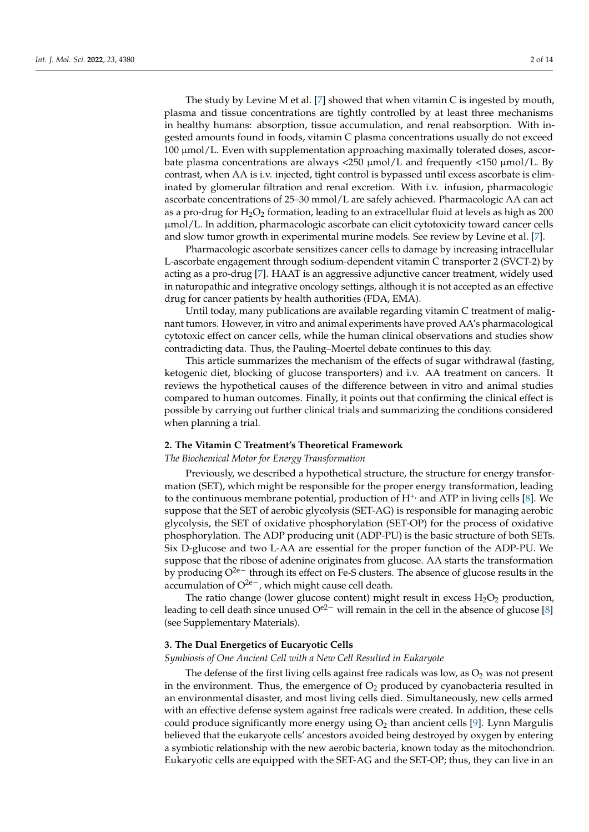The study by Levine M et al. [\[7\]](#page-10-3) showed that when vitamin C is ingested by mouth, plasma and tissue concentrations are tightly controlled by at least three mechanisms in healthy humans: absorption, tissue accumulation, and renal reabsorption. With ingested amounts found in foods, vitamin C plasma concentrations usually do not exceed  $100 \mu$ mol/L. Even with supplementation approaching maximally tolerated doses, ascorbate plasma concentrations are always  $\langle 250 \text{ }\mu\text{mol/L}$  and frequently  $\langle 150 \text{ }\mu\text{mol/L}$ . By contrast, when AA is i.v. injected, tight control is bypassed until excess ascorbate is eliminated by glomerular filtration and renal excretion. With i.v. infusion, pharmacologic ascorbate concentrations of 25–30 mmol/L are safely achieved. Pharmacologic AA can act as a pro-drug for  $H_2O_2$  formation, leading to an extracellular fluid at levels as high as 200 µmol/L. In addition, pharmacologic ascorbate can elicit cytotoxicity toward cancer cells and slow tumor growth in experimental murine models. See review by Levine et al. [\[7\]](#page-10-3).

Pharmacologic ascorbate sensitizes cancer cells to damage by increasing intracellular L-ascorbate engagement through sodium-dependent vitamin C transporter 2 (SVCT-2) by acting as a pro-drug [\[7\]](#page-10-3). HAAT is an aggressive adjunctive cancer treatment, widely used in naturopathic and integrative oncology settings, although it is not accepted as an effective drug for cancer patients by health authorities (FDA, EMA).

Until today, many publications are available regarding vitamin C treatment of malignant tumors. However, in vitro and animal experiments have proved AA's pharmacological cytotoxic effect on cancer cells, while the human clinical observations and studies show contradicting data. Thus, the Pauling–Moertel debate continues to this day.

This article summarizes the mechanism of the effects of sugar withdrawal (fasting, ketogenic diet, blocking of glucose transporters) and i.v. AA treatment on cancers. It reviews the hypothetical causes of the difference between in vitro and animal studies compared to human outcomes. Finally, it points out that confirming the clinical effect is possible by carrying out further clinical trials and summarizing the conditions considered when planning a trial.

## **2. The Vitamin C Treatment's Theoretical Framework**

## *The Biochemical Motor for Energy Transformation*

Previously, we described a hypothetical structure, the structure for energy transformation (SET), which might be responsible for the proper energy transformation, leading to the continuous membrane potential, production of  $H^+$ , and ATP in living cells [\[8\]](#page-10-4). We suppose that the SET of aerobic glycolysis (SET-AG) is responsible for managing aerobic glycolysis, the SET of oxidative phosphorylation (SET-OP) for the process of oxidative phosphorylation. The ADP producing unit (ADP-PU) is the basic structure of both SETs. Six D-glucose and two L-AA are essential for the proper function of the ADP-PU. We suppose that the ribose of adenine originates from glucose. AA starts the transformation by producing O2e<sup>−</sup> through its effect on Fe-S clusters. The absence of glucose results in the accumulation of  $O^{2e}$ , which might cause cell death.

The ratio change (lower glucose content) might result in excess  $H_2O_2$  production, leading to cell death since unused  $O^{e2-}$  will remain in the cell in the absence of glucose [\[8\]](#page-10-4) (see Supplementary Materials).

## **3. The Dual Energetics of Eucaryotic Cells**

## *Symbiosis of One Ancient Cell with a New Cell Resulted in Eukaryote*

The defense of the first living cells against free radicals was low, as  $O_2$  was not present in the environment. Thus, the emergence of  $O<sub>2</sub>$  produced by cyanobacteria resulted in an environmental disaster, and most living cells died. Simultaneously, new cells armed with an effective defense system against free radicals were created. In addition, these cells could produce significantly more energy using  $O<sub>2</sub>$  than ancient cells [\[9\]](#page-10-5). Lynn Margulis believed that the eukaryote cells' ancestors avoided being destroyed by oxygen by entering a symbiotic relationship with the new aerobic bacteria, known today as the mitochondrion. Eukaryotic cells are equipped with the SET-AG and the SET-OP; thus, they can live in an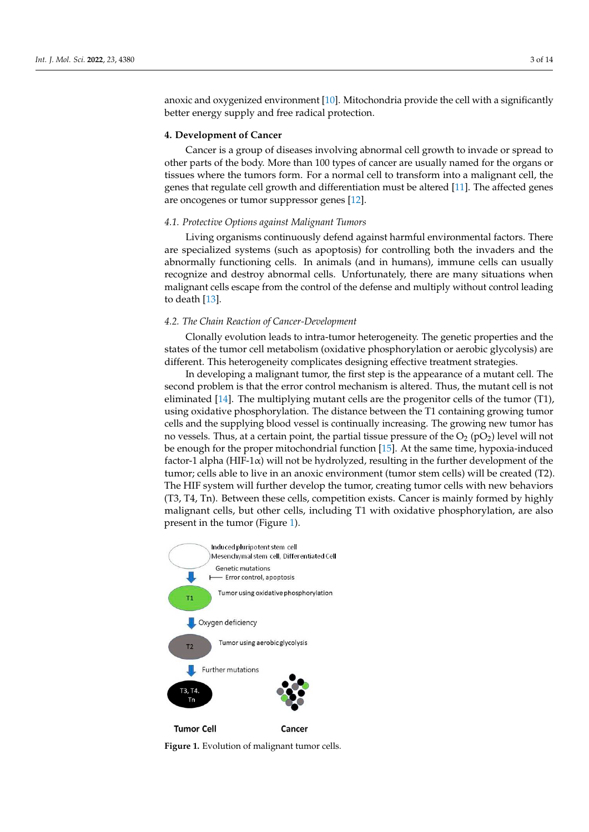anoxic and oxygenized environment [\[10\]](#page-10-6). Mitochondria provide the cell with a significantly better energy supply and free radical protection.

## **4. Development of Cancer**

Cancer is a group of diseases involving abnormal cell growth to invade or spread to other parts of the body. More than 100 types of cancer are usually named for the organs or tissues where the tumors form. For a normal cell to transform into a malignant cell, the genes that regulate cell growth and differentiation must be altered [\[11\]](#page-10-7). The affected genes are oncogenes or tumor suppressor genes [\[12\]](#page-10-8).

## *4.1. Protective Options against Malignant Tumors*

Living organisms continuously defend against harmful environmental factors. There are specialized systems (such as apoptosis) for controlling both the invaders and the abnormally functioning cells. In animals (and in humans), immune cells can usually recognize and destroy abnormal cells. Unfortunately, there are many situations when malignant cells escape from the control of the defense and multiply without control leading to death [\[13\]](#page-10-9).

## *4.2. The Chain Reaction of Cancer-Development*

Clonally evolution leads to intra-tumor heterogeneity. The genetic properties and the states of the tumor cell metabolism (oxidative phosphorylation or aerobic glycolysis) are different. This heterogeneity complicates designing effective treatment strategies.

In developing a malignant tumor, the first step is the appearance of a mutant cell. The second problem is that the error control mechanism is altered. Thus, the mutant cell is not eliminated [\[14\]](#page-10-10). The multiplying mutant cells are the progenitor cells of the tumor (T1), using oxidative phosphorylation. The distance between the T1 containing growing tumor cells and the supplying blood vessel is continually increasing. The growing new tumor has no vessels. Thus, at a certain point, the partial tissue pressure of the  $O_2$  (p $O_2$ ) level will not be enough for the proper mitochondrial function [\[15\]](#page-10-11). At the same time, hypoxia-induced factor-1 alpha (HIF-1 $\alpha$ ) will not be hydrolyzed, resulting in the further development of the tumor; cells able to live in an anoxic environment (tumor stem cells) will be created (T2). The HIF system will further develop the tumor, creating tumor cells with new behaviors (T3, T4, Tn). Between these cells, competition exists. Cancer is mainly formed by highly malignant cells, but other cells, including T1 with oxidative phosphorylation, are also present in the tumor (Figure [1\)](#page-2-0).

<span id="page-2-0"></span>

Figure 1. Evolution of malignant tumor cells.<br> **Figure 1.** Evolution of malignant tumor cells.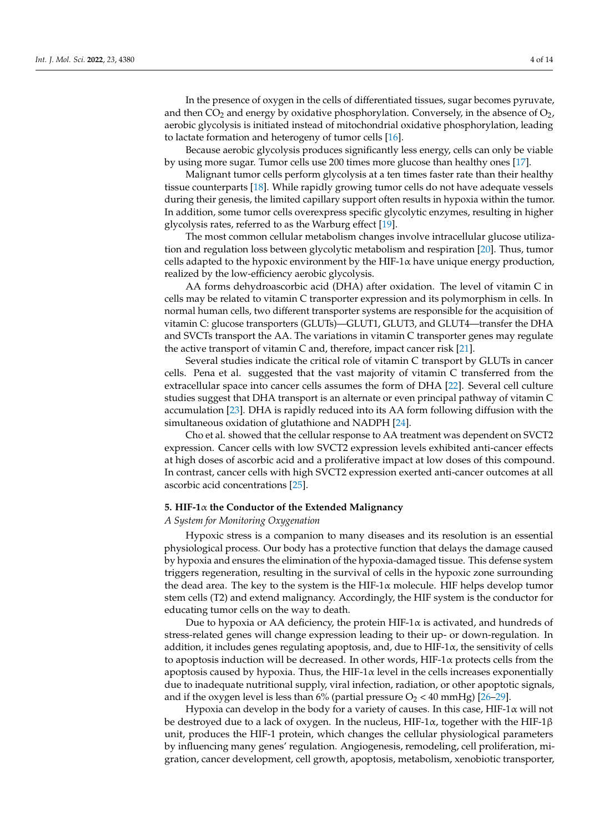In the presence of oxygen in the cells of differentiated tissues, sugar becomes pyruvate, and then  $CO<sub>2</sub>$  and energy by oxidative phosphorylation. Conversely, in the absence of  $O<sub>2</sub>$ , aerobic glycolysis is initiated instead of mitochondrial oxidative phosphorylation, leading to lactate formation and heterogeny of tumor cells [\[16\]](#page-10-12).

Because aerobic glycolysis produces significantly less energy, cells can only be viable by using more sugar. Tumor cells use 200 times more glucose than healthy ones [\[17\]](#page-10-13).

Malignant tumor cells perform glycolysis at a ten times faster rate than their healthy tissue counterparts [\[18\]](#page-10-14). While rapidly growing tumor cells do not have adequate vessels during their genesis, the limited capillary support often results in hypoxia within the tumor. In addition, some tumor cells overexpress specific glycolytic enzymes, resulting in higher glycolysis rates, referred to as the Warburg effect [\[19\]](#page-10-15).

The most common cellular metabolism changes involve intracellular glucose utilization and regulation loss between glycolytic metabolism and respiration [\[20\]](#page-10-16). Thus, tumor cells adapted to the hypoxic environment by the HIF-1 $\alpha$  have unique energy production, realized by the low-efficiency aerobic glycolysis.

AA forms dehydroascorbic acid (DHA) after oxidation. The level of vitamin C in cells may be related to vitamin C transporter expression and its polymorphism in cells. In normal human cells, two different transporter systems are responsible for the acquisition of vitamin C: glucose transporters (GLUTs)—GLUT1, GLUT3, and GLUT4—transfer the DHA and SVCTs transport the AA. The variations in vitamin C transporter genes may regulate the active transport of vitamin C and, therefore, impact cancer risk [\[21\]](#page-10-17).

Several studies indicate the critical role of vitamin C transport by GLUTs in cancer cells. Pena et al. suggested that the vast majority of vitamin C transferred from the extracellular space into cancer cells assumes the form of DHA [\[22\]](#page-10-18). Several cell culture studies suggest that DHA transport is an alternate or even principal pathway of vitamin C accumulation [\[23\]](#page-10-19). DHA is rapidly reduced into its AA form following diffusion with the simultaneous oxidation of glutathione and NADPH [\[24\]](#page-10-20).

Cho et al. showed that the cellular response to AA treatment was dependent on SVCT2 expression. Cancer cells with low SVCT2 expression levels exhibited anti-cancer effects at high doses of ascorbic acid and a proliferative impact at low doses of this compound. In contrast, cancer cells with high SVCT2 expression exerted anti-cancer outcomes at all ascorbic acid concentrations [\[25\]](#page-10-21).

#### **5. HIF-1**α **the Conductor of the Extended Malignancy**

#### *A System for Monitoring Oxygenation*

Hypoxic stress is a companion to many diseases and its resolution is an essential physiological process. Our body has a protective function that delays the damage caused by hypoxia and ensures the elimination of the hypoxia-damaged tissue. This defense system triggers regeneration, resulting in the survival of cells in the hypoxic zone surrounding the dead area. The key to the system is the HIF-1 $\alpha$  molecule. HIF helps develop tumor stem cells (T2) and extend malignancy. Accordingly, the HIF system is the conductor for educating tumor cells on the way to death.

Due to hypoxia or AA deficiency, the protein HIF-1 $\alpha$  is activated, and hundreds of stress-related genes will change expression leading to their up- or down-regulation. In addition, it includes genes regulating apoptosis, and, due to HIF-1 $\alpha$ , the sensitivity of cells to apoptosis induction will be decreased. In other words,  $HIF-1\alpha$  protects cells from the apoptosis caused by hypoxia. Thus, the HIF-1 $\alpha$  level in the cells increases exponentially due to inadequate nutritional supply, viral infection, radiation, or other apoptotic signals, and if the oxygen level is less than 6% (partial pressure  $O_2$  < 40 mmHg) [\[26](#page-10-22)[–29\]](#page-10-23).

Hypoxia can develop in the body for a variety of causes. In this case, HIF-1 $\alpha$  will not be destroyed due to a lack of oxygen. In the nucleus, HIF-1 $\alpha$ , together with the HIF-1 $\beta$ unit, produces the HIF-1 protein, which changes the cellular physiological parameters by influencing many genes' regulation. Angiogenesis, remodeling, cell proliferation, migration, cancer development, cell growth, apoptosis, metabolism, xenobiotic transporter,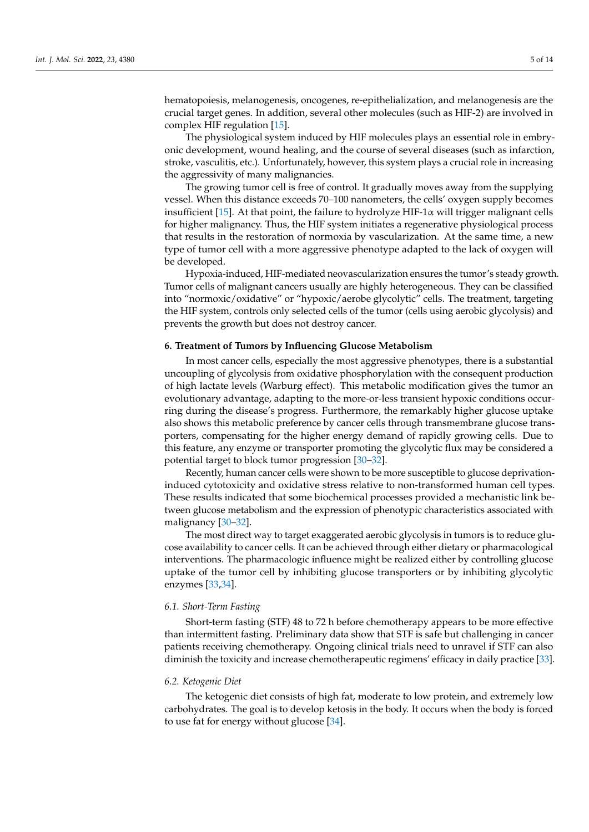hematopoiesis, melanogenesis, oncogenes, re-epithelialization, and melanogenesis are the crucial target genes. In addition, several other molecules (such as HIF-2) are involved in complex HIF regulation [\[15\]](#page-10-11).

The physiological system induced by HIF molecules plays an essential role in embryonic development, wound healing, and the course of several diseases (such as infarction, stroke, vasculitis, etc.). Unfortunately, however, this system plays a crucial role in increasing the aggressivity of many malignancies.

The growing tumor cell is free of control. It gradually moves away from the supplying vessel. When this distance exceeds 70–100 nanometers, the cells' oxygen supply becomes insufficient [\[15\]](#page-10-11). At that point, the failure to hydrolyze HIF-1 $\alpha$  will trigger malignant cells for higher malignancy. Thus, the HIF system initiates a regenerative physiological process that results in the restoration of normoxia by vascularization. At the same time, a new type of tumor cell with a more aggressive phenotype adapted to the lack of oxygen will be developed.

Hypoxia-induced, HIF-mediated neovascularization ensures the tumor's steady growth. Tumor cells of malignant cancers usually are highly heterogeneous. They can be classified into "normoxic/oxidative" or "hypoxic/aerobe glycolytic" cells. The treatment, targeting the HIF system, controls only selected cells of the tumor (cells using aerobic glycolysis) and prevents the growth but does not destroy cancer.

#### **6. Treatment of Tumors by Influencing Glucose Metabolism**

In most cancer cells, especially the most aggressive phenotypes, there is a substantial uncoupling of glycolysis from oxidative phosphorylation with the consequent production of high lactate levels (Warburg effect). This metabolic modification gives the tumor an evolutionary advantage, adapting to the more-or-less transient hypoxic conditions occurring during the disease's progress. Furthermore, the remarkably higher glucose uptake also shows this metabolic preference by cancer cells through transmembrane glucose transporters, compensating for the higher energy demand of rapidly growing cells. Due to this feature, any enzyme or transporter promoting the glycolytic flux may be considered a potential target to block tumor progression [\[30–](#page-10-24)[32\]](#page-10-25).

Recently, human cancer cells were shown to be more susceptible to glucose deprivationinduced cytotoxicity and oxidative stress relative to non-transformed human cell types. These results indicated that some biochemical processes provided a mechanistic link between glucose metabolism and the expression of phenotypic characteristics associated with malignancy [\[30–](#page-10-24)[32\]](#page-10-25).

The most direct way to target exaggerated aerobic glycolysis in tumors is to reduce glucose availability to cancer cells. It can be achieved through either dietary or pharmacological interventions. The pharmacologic influence might be realized either by controlling glucose uptake of the tumor cell by inhibiting glucose transporters or by inhibiting glycolytic enzymes [\[33,](#page-11-0)[34\]](#page-11-1).

### *6.1. Short-Term Fasting*

Short-term fasting (STF) 48 to 72 h before chemotherapy appears to be more effective than intermittent fasting. Preliminary data show that STF is safe but challenging in cancer patients receiving chemotherapy. Ongoing clinical trials need to unravel if STF can also diminish the toxicity and increase chemotherapeutic regimens' efficacy in daily practice [\[33\]](#page-11-0).

#### *6.2. Ketogenic Diet*

The ketogenic diet consists of high fat, moderate to low protein, and extremely low carbohydrates. The goal is to develop ketosis in the body. It occurs when the body is forced to use fat for energy without glucose [\[34\]](#page-11-1).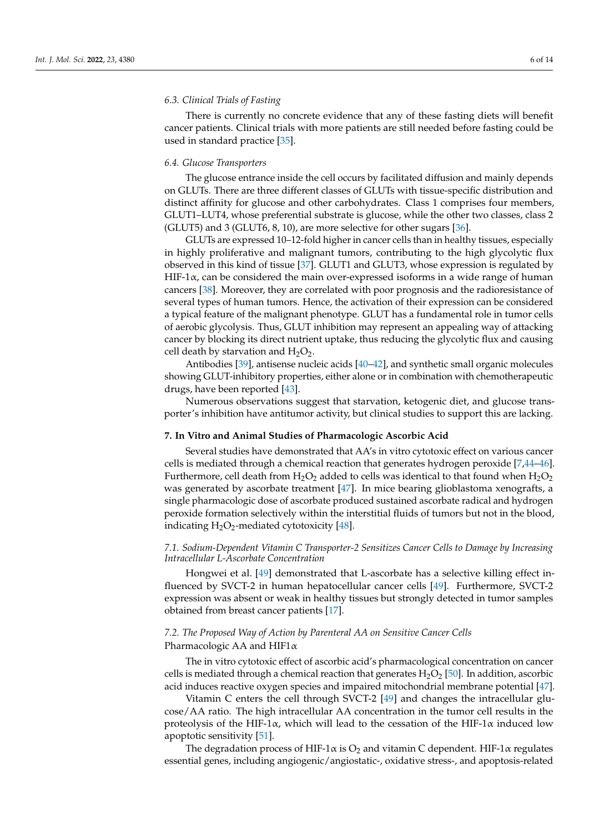## *6.3. Clinical Trials of Fasting*

There is currently no concrete evidence that any of these fasting diets will benefit cancer patients. Clinical trials with more patients are still needed before fasting could be used in standard practice [\[35\]](#page-11-2).

#### *6.4. Glucose Transporters*

The glucose entrance inside the cell occurs by facilitated diffusion and mainly depends on GLUTs. There are three different classes of GLUTs with tissue-specific distribution and distinct affinity for glucose and other carbohydrates. Class 1 comprises four members, GLUT1–LUT4, whose preferential substrate is glucose, while the other two classes, class 2 (GLUT5) and 3 (GLUT6, 8, 10), are more selective for other sugars [\[36\]](#page-11-3).

GLUTs are expressed 10–12-fold higher in cancer cells than in healthy tissues, especially in highly proliferative and malignant tumors, contributing to the high glycolytic flux observed in this kind of tissue [\[37\]](#page-11-4). GLUT1 and GLUT3, whose expression is regulated by HIF-1 $\alpha$ , can be considered the main over-expressed isoforms in a wide range of human cancers [\[38\]](#page-11-5). Moreover, they are correlated with poor prognosis and the radioresistance of several types of human tumors. Hence, the activation of their expression can be considered a typical feature of the malignant phenotype. GLUT has a fundamental role in tumor cells of aerobic glycolysis. Thus, GLUT inhibition may represent an appealing way of attacking cancer by blocking its direct nutrient uptake, thus reducing the glycolytic flux and causing cell death by starvation and  $H_2O_2$ .

Antibodies [\[39\]](#page-11-6), antisense nucleic acids [\[40](#page-11-7)[–42\]](#page-11-8), and synthetic small organic molecules showing GLUT-inhibitory properties, either alone or in combination with chemotherapeutic drugs, have been reported [\[43\]](#page-11-9).

Numerous observations suggest that starvation, ketogenic diet, and glucose transporter's inhibition have antitumor activity, but clinical studies to support this are lacking.

#### **7. In Vitro and Animal Studies of Pharmacologic Ascorbic Acid**

Several studies have demonstrated that AA's in vitro cytotoxic effect on various cancer cells is mediated through a chemical reaction that generates hydrogen peroxide [\[7,](#page-10-3)[44](#page-11-10)[–46\]](#page-11-11). Furthermore, cell death from  $H_2O_2$  added to cells was identical to that found when  $H_2O_2$ was generated by ascorbate treatment [\[47\]](#page-11-12). In mice bearing glioblastoma xenografts, a single pharmacologic dose of ascorbate produced sustained ascorbate radical and hydrogen peroxide formation selectively within the interstitial fluids of tumors but not in the blood, indicating  $H_2O_2$ -mediated cytotoxicity [\[48\]](#page-11-13).

## *7.1. Sodium-Dependent Vitamin C Transporter-2 Sensitizes Cancer Cells to Damage by Increasing Intracellular L-Ascorbate Concentration*

Hongwei et al. [\[49\]](#page-11-14) demonstrated that L-ascorbate has a selective killing effect influenced by SVCT-2 in human hepatocellular cancer cells [\[49\]](#page-11-14). Furthermore, SVCT-2 expression was absent or weak in healthy tissues but strongly detected in tumor samples obtained from breast cancer patients [\[17\]](#page-10-13).

## *7.2. The Proposed Way of Action by Parenteral AA on Sensitive Cancer Cells* Pharmacologic AA and  $HIF1\alpha$

The in vitro cytotoxic effect of ascorbic acid's pharmacological concentration on cancer cells is mediated through a chemical reaction that generates  $H_2O_2$  [\[50\]](#page-11-15). In addition, ascorbic acid induces reactive oxygen species and impaired mitochondrial membrane potential [\[47\]](#page-11-12).

Vitamin C enters the cell through SVCT-2 [\[49\]](#page-11-14) and changes the intracellular glucose/AA ratio. The high intracellular AA concentration in the tumor cell results in the proteolysis of the HIF-1 $\alpha$ , which will lead to the cessation of the HIF-1 $\alpha$  induced low apoptotic sensitivity [\[51\]](#page-11-16).

The degradation process of HIF-1 $\alpha$  is O<sub>2</sub> and vitamin C dependent. HIF-1 $\alpha$  regulates essential genes, including angiogenic/angiostatic-, oxidative stress-, and apoptosis-related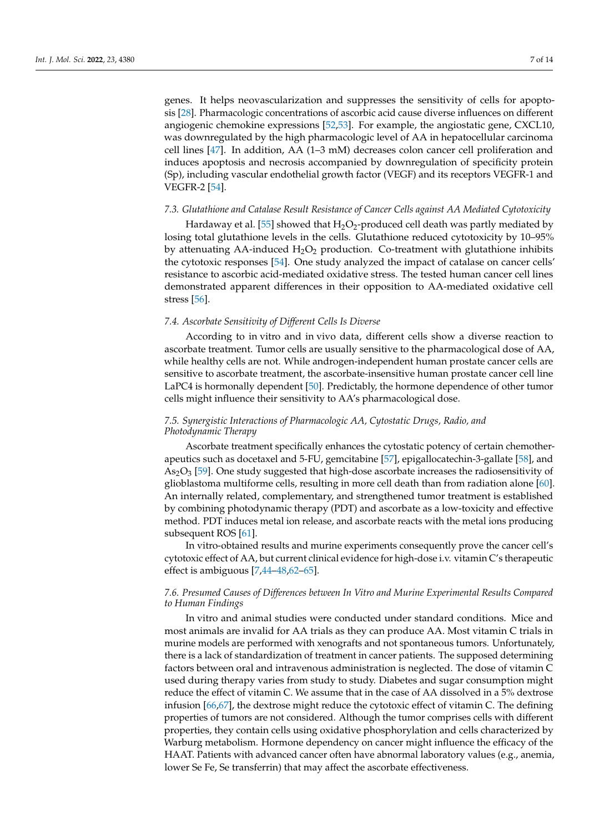genes. It helps neovascularization and suppresses the sensitivity of cells for apoptosis [\[28\]](#page-10-26). Pharmacologic concentrations of ascorbic acid cause diverse influences on different angiogenic chemokine expressions [\[52](#page-11-17)[,53\]](#page-11-18). For example, the angiostatic gene, CXCL10, was downregulated by the high pharmacologic level of AA in hepatocellular carcinoma cell lines [\[47\]](#page-11-12). In addition, AA (1–3 mM) decreases colon cancer cell proliferation and induces apoptosis and necrosis accompanied by downregulation of specificity protein (Sp), including vascular endothelial growth factor (VEGF) and its receptors VEGFR-1 and VEGFR-2 [\[54\]](#page-11-19).

#### *7.3. Glutathione and Catalase Result Resistance of Cancer Cells against AA Mediated Cytotoxicity*

Hardaway et al. [\[55\]](#page-11-20) showed that  $H_2O_2$ -produced cell death was partly mediated by losing total glutathione levels in the cells. Glutathione reduced cytotoxicity by 10–95% by attenuating AA-induced  $H_2O_2$  production. Co-treatment with glutathione inhibits the cytotoxic responses [\[54\]](#page-11-19). One study analyzed the impact of catalase on cancer cells' resistance to ascorbic acid-mediated oxidative stress. The tested human cancer cell lines demonstrated apparent differences in their opposition to AA-mediated oxidative cell stress [\[56\]](#page-11-21).

## *7.4. Ascorbate Sensitivity of Different Cells Is Diverse*

According to in vitro and in vivo data, different cells show a diverse reaction to ascorbate treatment. Tumor cells are usually sensitive to the pharmacological dose of AA, while healthy cells are not. While androgen-independent human prostate cancer cells are sensitive to ascorbate treatment, the ascorbate-insensitive human prostate cancer cell line LaPC4 is hormonally dependent [\[50\]](#page-11-15). Predictably, the hormone dependence of other tumor cells might influence their sensitivity to AA's pharmacological dose.

## *7.5. Synergistic Interactions of Pharmacologic AA, Cytostatic Drugs, Radio, and Photodynamic Therapy*

Ascorbate treatment specifically enhances the cytostatic potency of certain chemotherapeutics such as docetaxel and 5-FU, gemcitabine [\[57\]](#page-11-22), epigallocatechin-3-gallate [\[58\]](#page-11-23), and  $As<sub>2</sub>O<sub>3</sub>$  [\[59\]](#page-11-24). One study suggested that high-dose ascorbate increases the radiosensitivity of glioblastoma multiforme cells, resulting in more cell death than from radiation alone [\[60\]](#page-12-0). An internally related, complementary, and strengthened tumor treatment is established by combining photodynamic therapy (PDT) and ascorbate as a low-toxicity and effective method. PDT induces metal ion release, and ascorbate reacts with the metal ions producing subsequent ROS [\[61\]](#page-12-1).

In vitro-obtained results and murine experiments consequently prove the cancer cell's cytotoxic effect of AA, but current clinical evidence for high-dose i.v. vitamin C's therapeutic effect is ambiguous [\[7](#page-10-3)[,44–](#page-11-10)[48](#page-11-13)[,62](#page-12-2)[–65\]](#page-12-3).

## *7.6. Presumed Causes of Differences between In Vitro and Murine Experimental Results Compared to Human Findings*

In vitro and animal studies were conducted under standard conditions. Mice and most animals are invalid for AA trials as they can produce AA. Most vitamin C trials in murine models are performed with xenografts and not spontaneous tumors. Unfortunately, there is a lack of standardization of treatment in cancer patients. The supposed determining factors between oral and intravenous administration is neglected. The dose of vitamin C used during therapy varies from study to study. Diabetes and sugar consumption might reduce the effect of vitamin C. We assume that in the case of AA dissolved in a 5% dextrose infusion [\[66](#page-12-4)[,67\]](#page-12-5), the dextrose might reduce the cytotoxic effect of vitamin C. The defining properties of tumors are not considered. Although the tumor comprises cells with different properties, they contain cells using oxidative phosphorylation and cells characterized by Warburg metabolism. Hormone dependency on cancer might influence the efficacy of the HAAT. Patients with advanced cancer often have abnormal laboratory values (e.g., anemia, lower Se Fe, Se transferrin) that may affect the ascorbate effectiveness.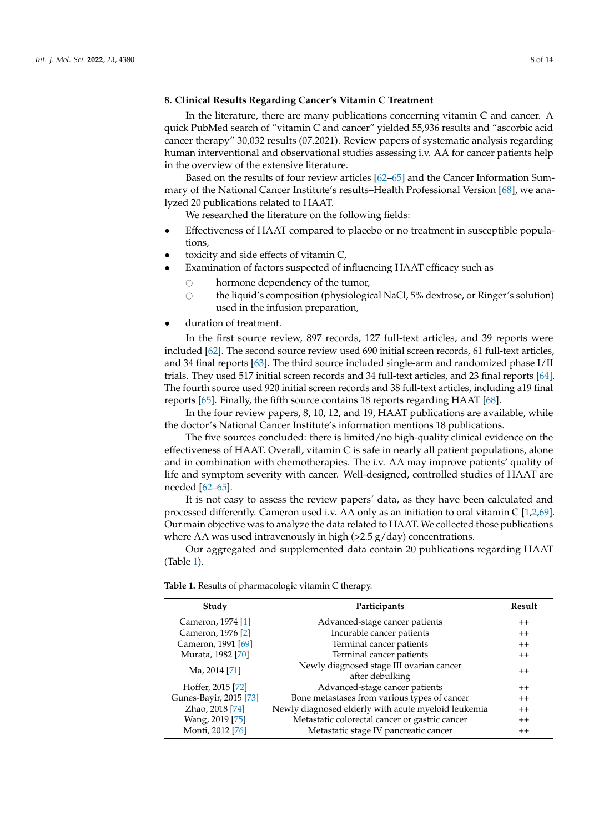## **8. Clinical Results Regarding Cancer's Vitamin C Treatment**

In the literature, there are many publications concerning vitamin C and cancer. A quick PubMed search of "vitamin C and cancer" yielded 55,936 results and "ascorbic acid cancer therapy" 30,032 results (07.2021). Review papers of systematic analysis regarding human interventional and observational studies assessing i.v. AA for cancer patients help in the overview of the extensive literature.

Based on the results of four review articles [\[62](#page-12-2)[–65\]](#page-12-3) and the Cancer Information Summary of the National Cancer Institute's results–Health Professional Version [\[68\]](#page-12-6), we analyzed 20 publications related to HAAT.

We researched the literature on the following fields:

- Effectiveness of HAAT compared to placebo or no treatment in susceptible populations,
- toxicity and side effects of vitamin C,
- Examination of factors suspected of influencing HAAT efficacy such as
	- $\circ$  hormone dependency of the tumor,<br>the liquid's composition (physiologic
	- the liquid's composition (physiological NaCl, 5% dextrose, or Ringer's solution) used in the infusion preparation,
- duration of treatment.

In the first source review, 897 records, 127 full-text articles, and 39 reports were included [\[62\]](#page-12-2). The second source review used 690 initial screen records, 61 full-text articles, and 34 final reports [\[63\]](#page-12-7). The third source included single-arm and randomized phase I/II trials. They used 517 initial screen records and 34 full-text articles, and 23 final reports [\[64\]](#page-12-8). The fourth source used 920 initial screen records and 38 full-text articles, including a19 final reports [\[65\]](#page-12-3). Finally, the fifth source contains 18 reports regarding HAAT [\[68\]](#page-12-6).

In the four review papers, 8, 10, 12, and 19, HAAT publications are available, while the doctor's National Cancer Institute's information mentions 18 publications.

The five sources concluded: there is limited/no high-quality clinical evidence on the effectiveness of HAAT. Overall, vitamin C is safe in nearly all patient populations, alone and in combination with chemotherapies. The i.v. AA may improve patients' quality of life and symptom severity with cancer. Well-designed, controlled studies of HAAT are needed [\[62](#page-12-2)[–65\]](#page-12-3).

It is not easy to assess the review papers' data, as they have been calculated and processed differently. Cameron used i.v. AA only as an initiation to oral vitamin C [\[1](#page-9-0)[,2](#page-9-1)[,69\]](#page-12-9). Our main objective was to analyze the data related to HAAT. We collected those publications where AA was used intravenously in high  $(>2.5 \text{ g/day})$  concentrations.

Our aggregated and supplemented data contain 20 publications regarding HAAT (Table [1\)](#page-7-0).

| Study                      | Participants                                        | Result  |
|----------------------------|-----------------------------------------------------|---------|
| Cameron, 1974 [1]          | Advanced-stage cancer patients                      | $^{++}$ |
| Cameron, 1976 [2]          | Incurable cancer patients                           | $++$    |
| Cameron, 1991 [69]         | Terminal cancer patients                            | $++$    |
| Murata, 1982 [70]          | Terminal cancer patients                            | $++$    |
| Ma, 2014 [71]              | Newly diagnosed stage III ovarian cancer            | $^{++}$ |
|                            | after debulking                                     |         |
| Hoffer, 2015 [72]          | Advanced-stage cancer patients                      | $^{++}$ |
| Gunes-Bayir, 2015 [73]     | Bone metastases from various types of cancer        | $++$    |
| Zhao, 2018 <sup>[74]</sup> | Newly diagnosed elderly with acute myeloid leukemia | $++$    |
| Wang, 2019 [75]            | Metastatic colorectal cancer or gastric cancer      | $^{++}$ |
| Monti, 2012 [76]           | Metastatic stage IV pancreatic cancer               | $^{++}$ |

<span id="page-7-0"></span>**Table 1.** Results of pharmacologic vitamin C therapy.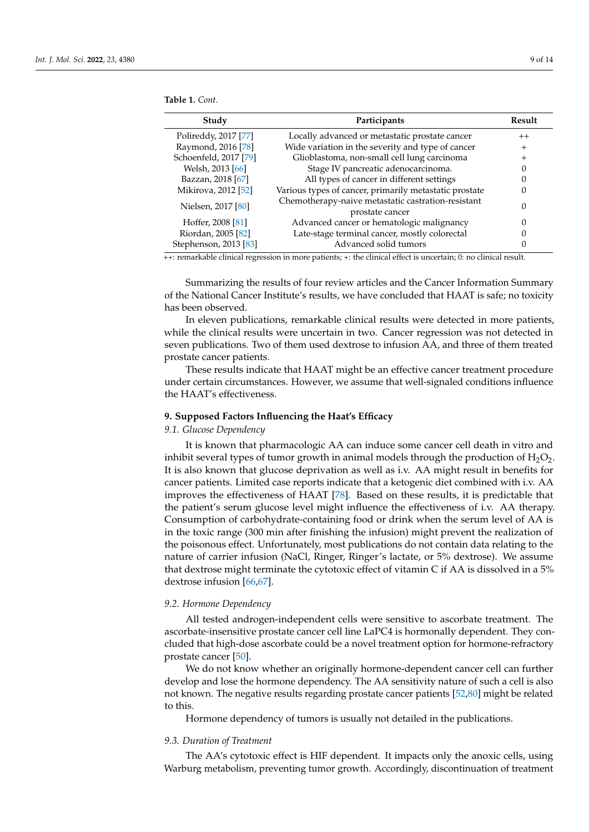| Study                 | Participants                                                          | Result         |
|-----------------------|-----------------------------------------------------------------------|----------------|
| Polireddy, 2017 [77]  | Locally advanced or metastatic prostate cancer                        | $++$           |
| Raymond, 2016 [78]    | Wide variation in the severity and type of cancer                     | $\overline{+}$ |
| Schoenfeld, 2017 [79] | Glioblastoma, non-small cell lung carcinoma                           | ┿              |
| Welsh, 2013 [66]      | Stage IV pancreatic adenocarcinoma.                                   |                |
| Bazzan, 2018 [67]     | All types of cancer in different settings                             |                |
| Mikirova, 2012 [52]   | Various types of cancer, primarily metastatic prostate                | $\theta$       |
| Nielsen, 2017 [80]    | Chemotherapy-naive metastatic castration-resistant<br>prostate cancer | 0              |
| Hoffer, 2008 [81]     | Advanced cancer or hematologic malignancy                             | 0              |
| Riordan, 2005 [82]    | Late-stage terminal cancer, mostly colorectal                         |                |
| Stephenson, 2013 [83] | Advanced solid tumors                                                 |                |

**Table 1.** *Cont.*

++: remarkable clinical regression in more patients; +: the clinical effect is uncertain; 0: no clinical result.

Summarizing the results of four review articles and the Cancer Information Summary of the National Cancer Institute's results, we have concluded that HAAT is safe; no toxicity has been observed.

In eleven publications, remarkable clinical results were detected in more patients, while the clinical results were uncertain in two. Cancer regression was not detected in seven publications. Two of them used dextrose to infusion AA, and three of them treated prostate cancer patients.

These results indicate that HAAT might be an effective cancer treatment procedure under certain circumstances. However, we assume that well-signaled conditions influence the HAAT's effectiveness.

## **9. Supposed Factors Influencing the Haat's Efficacy**

### *9.1. Glucose Dependency*

It is known that pharmacologic AA can induce some cancer cell death in vitro and inhibit several types of tumor growth in animal models through the production of  $H_2O_2$ . It is also known that glucose deprivation as well as i.v. AA might result in benefits for cancer patients. Limited case reports indicate that a ketogenic diet combined with i.v. AA improves the effectiveness of HAAT [\[78\]](#page-12-18). Based on these results, it is predictable that the patient's serum glucose level might influence the effectiveness of i.v. AA therapy. Consumption of carbohydrate-containing food or drink when the serum level of AA is in the toxic range (300 min after finishing the infusion) might prevent the realization of the poisonous effect. Unfortunately, most publications do not contain data relating to the nature of carrier infusion (NaCl, Ringer, Ringer's lactate, or 5% dextrose). We assume that dextrose might terminate the cytotoxic effect of vitamin C if AA is dissolved in a 5% dextrose infusion [\[66](#page-12-4)[,67\]](#page-12-5).

#### *9.2. Hormone Dependency*

All tested androgen-independent cells were sensitive to ascorbate treatment. The ascorbate-insensitive prostate cancer cell line LaPC4 is hormonally dependent. They concluded that high-dose ascorbate could be a novel treatment option for hormone-refractory prostate cancer [\[50\]](#page-11-15).

We do not know whether an originally hormone-dependent cancer cell can further develop and lose the hormone dependency. The AA sensitivity nature of such a cell is also not known. The negative results regarding prostate cancer patients [\[52](#page-11-17)[,80\]](#page-12-20) might be related to this.

Hormone dependency of tumors is usually not detailed in the publications.

## *9.3. Duration of Treatment*

The AA's cytotoxic effect is HIF dependent. It impacts only the anoxic cells, using Warburg metabolism, preventing tumor growth. Accordingly, discontinuation of treatment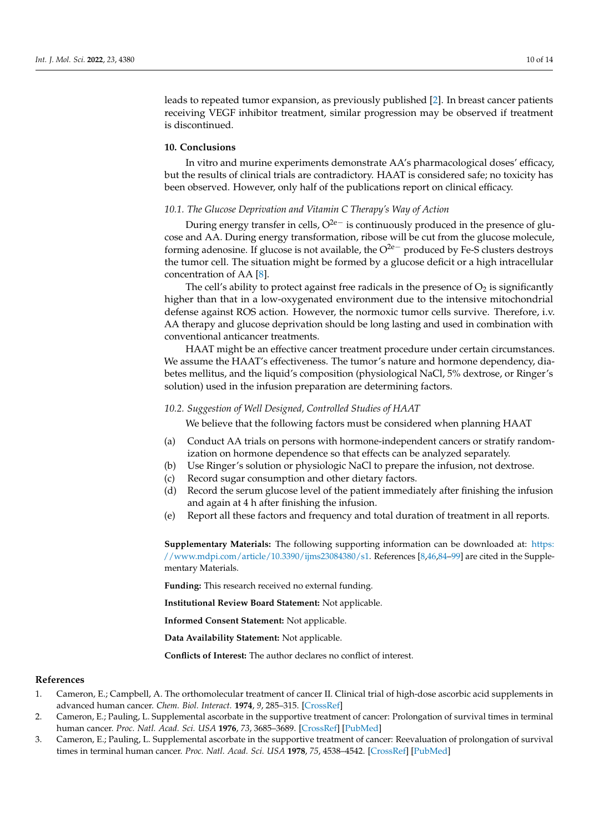leads to repeated tumor expansion, as previously published [\[2\]](#page-9-1). In breast cancer patients receiving VEGF inhibitor treatment, similar progression may be observed if treatment is discontinued.

## **10. Conclusions**

In vitro and murine experiments demonstrate AA's pharmacological doses' efficacy, but the results of clinical trials are contradictory. HAAT is considered safe; no toxicity has been observed. However, only half of the publications report on clinical efficacy.

## *10.1. The Glucose Deprivation and Vitamin C Therapy's Way of Action*

During energy transfer in cells, O<sup>2e−</sup> is continuously produced in the presence of glucose and AA. During energy transformation, ribose will be cut from the glucose molecule, forming adenosine. If glucose is not available, the  $O^{2e-}$  produced by Fe-S clusters destroys the tumor cell. The situation might be formed by a glucose deficit or a high intracellular concentration of AA [\[8\]](#page-10-4).

The cell's ability to protect against free radicals in the presence of  $O_2$  is significantly higher than that in a low-oxygenated environment due to the intensive mitochondrial defense against ROS action. However, the normoxic tumor cells survive. Therefore, i.v. AA therapy and glucose deprivation should be long lasting and used in combination with conventional anticancer treatments.

HAAT might be an effective cancer treatment procedure under certain circumstances. We assume the HAAT's effectiveness. The tumor's nature and hormone dependency, diabetes mellitus, and the liquid's composition (physiological NaCl, 5% dextrose, or Ringer's solution) used in the infusion preparation are determining factors.

#### *10.2. Suggestion of Well Designed, Controlled Studies of HAAT*

We believe that the following factors must be considered when planning HAAT

- (a) Conduct AA trials on persons with hormone-independent cancers or stratify randomization on hormone dependence so that effects can be analyzed separately.
- (b) Use Ringer's solution or physiologic NaCl to prepare the infusion, not dextrose.
- (c) Record sugar consumption and other dietary factors.
- (d) Record the serum glucose level of the patient immediately after finishing the infusion and again at 4 h after finishing the infusion.
- (e) Report all these factors and frequency and total duration of treatment in all reports.

**Supplementary Materials:** The following supporting information can be downloaded at: [https:](https://www.mdpi.com/article/10.3390/ijms23084380/s1) [//www.mdpi.com/article/10.3390/ijms23084380/s1.](https://www.mdpi.com/article/10.3390/ijms23084380/s1) References [\[8,](#page-10-4)[46,](#page-11-11)[84](#page-12-24)[–99\]](#page-13-0) are cited in the Supplementary Materials.

**Funding:** This research received no external funding.

**Institutional Review Board Statement:** Not applicable.

**Informed Consent Statement:** Not applicable.

**Data Availability Statement:** Not applicable.

**Conflicts of Interest:** The author declares no conflict of interest.

## **References**

- <span id="page-9-0"></span>1. Cameron, E.; Campbell, A. The orthomolecular treatment of cancer II. Clinical trial of high-dose ascorbic acid supplements in advanced human cancer. *Chem. Biol. Interact.* **1974**, *9*, 285–315. [\[CrossRef\]](http://doi.org/10.1016/0009-2797(74)90019-2)
- <span id="page-9-1"></span>2. Cameron, E.; Pauling, L. Supplemental ascorbate in the supportive treatment of cancer: Prolongation of survival times in terminal human cancer. *Proc. Natl. Acad. Sci. USA* **1976**, *73*, 3685–3689. [\[CrossRef\]](http://doi.org/10.1073/pnas.73.10.3685) [\[PubMed\]](http://www.ncbi.nlm.nih.gov/pubmed/1068480)
- <span id="page-9-2"></span>3. Cameron, E.; Pauling, L. Supplemental ascorbate in the supportive treatment of cancer: Reevaluation of prolongation of survival times in terminal human cancer. *Proc. Natl. Acad. Sci. USA* **1978**, *75*, 4538–4542. [\[CrossRef\]](http://doi.org/10.1073/pnas.75.9.4538) [\[PubMed\]](http://www.ncbi.nlm.nih.gov/pubmed/279931)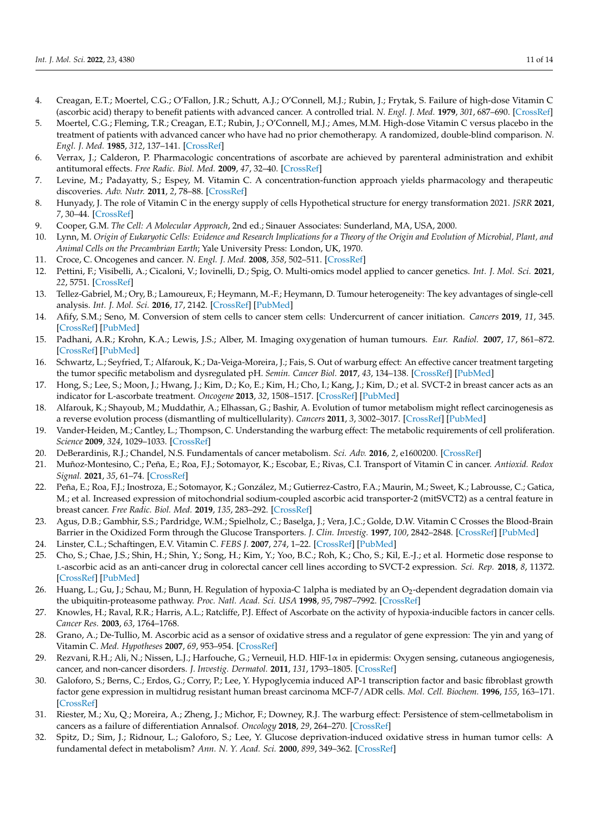- <span id="page-10-0"></span>4. Creagan, E.T.; Moertel, C.G.; O'Fallon, J.R.; Schutt, A.J.; O'Connell, M.J.; Rubin, J.; Frytak, S. Failure of high-dose Vitamin C (ascorbic acid) therapy to benefit patients with advanced cancer. A controlled trial. *N. Engl. J. Med.* **1979**, *301*, 687–690. [\[CrossRef\]](http://doi.org/10.1056/NEJM197909273011303)
- <span id="page-10-1"></span>5. Moertel, C.G.; Fleming, T.R.; Creagan, E.T.; Rubin, J.; O'Connell, M.J.; Ames, M.M. High-dose Vitamin C versus placebo in the treatment of patients with advanced cancer who have had no prior chemotherapy. A randomized, double-blind comparison. *N. Engl. J. Med.* **1985**, *312*, 137–141. [\[CrossRef\]](http://doi.org/10.1056/NEJM198501173120301)
- <span id="page-10-2"></span>6. Verrax, J.; Calderon, P. Pharmacologic concentrations of ascorbate are achieved by parenteral administration and exhibit antitumoral effects. *Free Radic. Biol. Med.* **2009**, *47*, 32–40. [\[CrossRef\]](http://doi.org/10.1016/j.freeradbiomed.2009.02.016)
- <span id="page-10-3"></span>7. Levine, M.; Padayatty, S.; Espey, M. Vitamin C. A concentration-function approach yields pharmacology and therapeutic discoveries. *Adv. Nutr.* **2011**, *2*, 78–88. [\[CrossRef\]](http://doi.org/10.3945/an.110.000109)
- <span id="page-10-4"></span>8. Hunyady, J. The role of Vitamin C in the energy supply of cells Hypothetical structure for energy transformation 2021. *JSRR* **2021**, *7*, 30–44. [\[CrossRef\]](http://doi.org/10.9734/jsrr/2021/v27i730409)
- <span id="page-10-5"></span>9. Cooper, G.M. *The Cell: A Molecular Approach*, 2nd ed.; Sinauer Associates: Sunderland, MA, USA, 2000.
- <span id="page-10-6"></span>10. Lynn, M. *Origin of Eukaryotic Cells: Evidence and Research Implications for a Theory of the Origin and Evolution of Microbial, Plant, and Animal Cells on the Precambrian Earth*; Yale University Press: London, UK, 1970.
- <span id="page-10-7"></span>11. Croce, C. Oncogenes and cancer. *N. Engl. J. Med.* **2008**, *358*, 502–511. [\[CrossRef\]](http://doi.org/10.1056/NEJMra072367)
- <span id="page-10-8"></span>12. Pettini, F.; Visibelli, A.; Cicaloni, V.; Iovinelli, D.; Spig, O. Multi-omics model applied to cancer genetics. *Int. J. Mol. Sci.* **2021**, *22*, 5751. [\[CrossRef\]](http://doi.org/10.3390/ijms22115751)
- <span id="page-10-9"></span>13. Tellez-Gabriel, M.; Ory, B.; Lamoureux, F.; Heymann, M.-F.; Heymann, D. Tumour heterogeneity: The key advantages of single-cell analysis. *Int. J. Mol. Sci.* **2016**, *17*, 2142. [\[CrossRef\]](http://doi.org/10.3390/ijms17122142) [\[PubMed\]](http://www.ncbi.nlm.nih.gov/pubmed/27999407)
- <span id="page-10-10"></span>14. Afify, S.M.; Seno, M. Conversion of stem cells to cancer stem cells: Undercurrent of cancer initiation. *Cancers* **2019**, *11*, 345. [\[CrossRef\]](http://doi.org/10.3390/cancers11030345) [\[PubMed\]](http://www.ncbi.nlm.nih.gov/pubmed/30862050)
- <span id="page-10-11"></span>15. Padhani, A.R.; Krohn, K.A.; Lewis, J.S.; Alber, M. Imaging oxygenation of human tumours. *Eur. Radiol.* **2007**, *17*, 861–872. [\[CrossRef\]](http://doi.org/10.1007/s00330-006-0431-y) [\[PubMed\]](http://www.ncbi.nlm.nih.gov/pubmed/17043737)
- <span id="page-10-12"></span>16. Schwartz, L.; Seyfried, T.; Alfarouk, K.; Da-Veiga-Moreira, J.; Fais, S. Out of warburg effect: An effective cancer treatment targeting the tumor specific metabolism and dysregulated pH. *Semin. Cancer Biol.* **2017**, *43*, 134–138. [\[CrossRef\]](http://doi.org/10.1016/j.semcancer.2017.01.005) [\[PubMed\]](http://www.ncbi.nlm.nih.gov/pubmed/28122260)
- <span id="page-10-13"></span>17. Hong, S.; Lee, S.; Moon, J.; Hwang, J.; Kim, D.; Ko, E.; Kim, H.; Cho, I.; Kang, J.; Kim, D.; et al. SVCT-2 in breast cancer acts as an indicator for L-ascorbate treatment. *Oncogene* **2013**, *32*, 1508–1517. [\[CrossRef\]](http://doi.org/10.1038/onc.2012.176) [\[PubMed\]](http://www.ncbi.nlm.nih.gov/pubmed/22665050)
- <span id="page-10-14"></span>18. Alfarouk, K.; Shayoub, M.; Muddathir, A.; Elhassan, G.; Bashir, A. Evolution of tumor metabolism might reflect carcinogenesis as a reverse evolution process (dismantling of multicellularity). *Cancers* **2011**, *3*, 3002–3017. [\[CrossRef\]](http://doi.org/10.3390/cancers3033002) [\[PubMed\]](http://www.ncbi.nlm.nih.gov/pubmed/24310356)
- <span id="page-10-15"></span>19. Vander-Heiden, M.; Cantley, L.; Thompson, C. Understanding the warburg effect: The metabolic requirements of cell proliferation. *Science* **2009**, *324*, 1029–1033. [\[CrossRef\]](http://doi.org/10.1126/science.1160809)
- <span id="page-10-16"></span>20. DeBerardinis, R.J.; Chandel, N.S. Fundamentals of cancer metabolism. *Sci. Adv.* **2016**, *2*, e1600200. [\[CrossRef\]](http://doi.org/10.1126/sciadv.1600200)
- <span id="page-10-17"></span>21. Muñoz-Montesino, C.; Peña, E.; Roa, F.J.; Sotomayor, K.; Escobar, E.; Rivas, C.I. Transport of Vitamin C in cancer. *Antioxid. Redox Signal.* **2021**, *35*, 61–74. [\[CrossRef\]](http://doi.org/10.1089/ars.2020.8166)
- <span id="page-10-18"></span>22. Peña, E.; Roa, F.J.; Inostroza, E.; Sotomayor, K.; González, M.; Gutierrez-Castro, F.A.; Maurin, M.; Sweet, K.; Labrousse, C.; Gatica, M.; et al. Increased expression of mitochondrial sodium-coupled ascorbic acid transporter-2 (mitSVCT2) as a central feature in breast cancer. *Free Radic. Biol. Med.* **2019**, *135*, 283–292. [\[CrossRef\]](http://doi.org/10.1016/j.freeradbiomed.2019.03.015)
- <span id="page-10-19"></span>23. Agus, D.B.; Gambhir, S.S.; Pardridge, W.M.; Spielholz, C.; Baselga, J.; Vera, J.C.; Golde, D.W. Vitamin C Crosses the Blood-Brain Barrier in the Oxidized Form through the Glucose Transporters. *J. Clin. Investig.* **1997**, *100*, 2842–2848. [\[CrossRef\]](http://doi.org/10.1172/JCI119832) [\[PubMed\]](http://www.ncbi.nlm.nih.gov/pubmed/9389750)
- <span id="page-10-20"></span>24. Linster, C.L.; Schaftingen, E.V. Vitamin C. *FEBS J.* **2007**, *274*, 1–22. [\[CrossRef\]](http://doi.org/10.1111/j.1742-4658.2006.05607.x) [\[PubMed\]](http://www.ncbi.nlm.nih.gov/pubmed/17222174)
- <span id="page-10-21"></span>25. Cho, S.; Chae, J.S.; Shin, H.; Shin, Y.; Song, H.; Kim, Y.; Yoo, B.C.; Roh, K.; Cho, S.; Kil, E.-J.; et al. Hormetic dose response to L-ascorbic acid as an anti-cancer drug in colorectal cancer cell lines according to SVCT-2 expression. *Sci. Rep.* **2018**, *8*, 11372. [\[CrossRef\]](http://doi.org/10.1038/s41598-018-29386-7) [\[PubMed\]](http://www.ncbi.nlm.nih.gov/pubmed/30054560)
- <span id="page-10-22"></span>26. Huang, L.; Gu, J.; Schau, M.; Bunn, H. Regulation of hypoxia-C 1alpha is mediated by an O2-dependent degradation domain via the ubiquitin-proteasome pathway. *Proc. Natl. Acad. Sci. USA* **1998**, *95*, 7987–7992. [\[CrossRef\]](http://doi.org/10.1073/pnas.95.14.7987)
- 27. Knowles, H.; Raval, R.R.; Harris, A.L.; Ratcliffe, P.J. Effect of Ascorbate on the activity of hypoxia-inducible factors in cancer cells. *Cancer Res.* **2003**, *63*, 1764–1768.
- <span id="page-10-26"></span>28. Grano, A.; De-Tullio, M. Ascorbic acid as a sensor of oxidative stress and a regulator of gene expression: The yin and yang of Vitamin C. *Med. Hypotheses* **2007**, *69*, 953–954. [\[CrossRef\]](http://doi.org/10.1016/j.mehy.2007.02.008)
- <span id="page-10-23"></span>29. Rezvani, R.H.; Ali, N.; Nissen, L.J.; Harfouche, G.; Verneuil, H.D. HIF-1α in epidermis: Oxygen sensing, cutaneous angiogenesis, cancer, and non-cancer disorders. *J. Investig. Dermatol.* **2011**, *131*, 1793–1805. [\[CrossRef\]](http://doi.org/10.1038/jid.2011.141)
- <span id="page-10-24"></span>30. Galoforo, S.; Berns, C.; Erdos, G.; Corry, P.; Lee, Y. Hypoglycemia induced AP-1 transcription factor and basic fibroblast growth factor gene expression in multidrug resistant human breast carcinoma MCF-7/ADR cells. *Mol. Cell. Biochem.* **1996**, *155*, 163–171. [\[CrossRef\]](http://doi.org/10.1007/BF00229313)
- 31. Riester, M.; Xu, Q.; Moreira, A.; Zheng, J.; Michor, F.; Downey, R.J. The warburg effect: Persistence of stem-cellmetabolism in cancers as a failure of differentiation Annalsof. *Oncology* **2018**, *29*, 264–270. [\[CrossRef\]](http://doi.org/10.1093/annonc/)
- <span id="page-10-25"></span>32. Spitz, D.; Sim, J.; Ridnour, L.; Galoforo, S.; Lee, Y. Glucose deprivation-induced oxidative stress in human tumor cells: A fundamental defect in metabolism? *Ann. N. Y. Acad. Sci.* **2000**, *899*, 349–362. [\[CrossRef\]](http://doi.org/10.1111/j.1749-6632.2000.tb06199.x)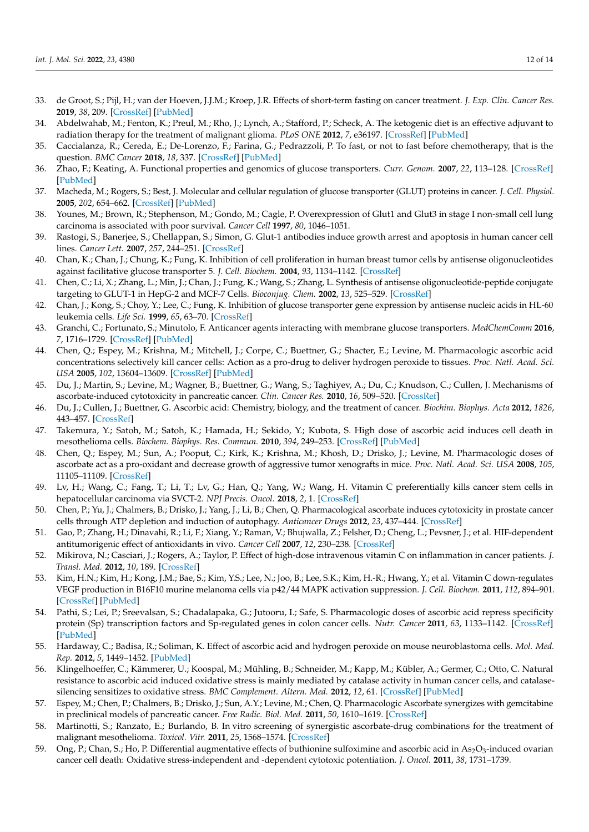- <span id="page-11-0"></span>33. de Groot, S.; Pijl, H.; van der Hoeven, J.J.M.; Kroep, J.R. Effects of short-term fasting on cancer treatment. *J. Exp. Clin. Cancer Res.* **2019**, *38*, 209. [\[CrossRef\]](http://doi.org/10.1186/s13046-019-1189-9) [\[PubMed\]](http://www.ncbi.nlm.nih.gov/pubmed/31113478)
- <span id="page-11-1"></span>34. Abdelwahab, M.; Fenton, K.; Preul, M.; Rho, J.; Lynch, A.; Stafford, P.; Scheck, A. The ketogenic diet is an effective adjuvant to radiation therapy for the treatment of malignant glioma. *PLoS ONE* **2012**, *7*, e36197. [\[CrossRef\]](http://doi.org/10.1371/journal.pone.0036197) [\[PubMed\]](http://www.ncbi.nlm.nih.gov/pubmed/22563484)
- <span id="page-11-2"></span>35. Caccialanza, R.; Cereda, E.; De-Lorenzo, F.; Farina, G.; Pedrazzoli, P. To fast, or not to fast before chemotherapy, that is the question. *BMC Cancer* **2018**, *18*, 337. [\[CrossRef\]](http://doi.org/10.1186/s12885-018-4245-5) [\[PubMed\]](http://www.ncbi.nlm.nih.gov/pubmed/29587670)
- <span id="page-11-3"></span>36. Zhao, F.; Keating, A. Functional properties and genomics of glucose transporters. *Curr. Genom.* **2007**, *22*, 113–128. [\[CrossRef\]](http://doi.org/10.2174/138920207780368187) [\[PubMed\]](http://www.ncbi.nlm.nih.gov/pubmed/18660845)
- <span id="page-11-4"></span>37. Macheda, M.; Rogers, S.; Best, J. Molecular and cellular regulation of glucose transporter (GLUT) proteins in cancer. *J. Cell. Physiol.* **2005**, *202*, 654–662. [\[CrossRef\]](http://doi.org/10.1002/jcp.20166) [\[PubMed\]](http://www.ncbi.nlm.nih.gov/pubmed/15389572)
- <span id="page-11-5"></span>38. Younes, M.; Brown, R.; Stephenson, M.; Gondo, M.; Cagle, P. Overexpression of Glut1 and Glut3 in stage I non-small cell lung carcinoma is associated with poor survival. *Cancer Cell* **1997**, *80*, 1046–1051.
- <span id="page-11-6"></span>39. Rastogi, S.; Banerjee, S.; Chellappan, S.; Simon, G. Glut-1 antibodies induce growth arrest and apoptosis in human cancer cell lines. *Cancer Lett.* **2007**, *257*, 244–251. [\[CrossRef\]](http://doi.org/10.1016/j.canlet.2007.07.021)
- <span id="page-11-7"></span>40. Chan, K.; Chan, J.; Chung, K.; Fung, K. Inhibition of cell proliferation in human breast tumor cells by antisense oligonucleotides against facilitative glucose transporter 5. *J. Cell. Biochem.* **2004**, *93*, 1134–1142. [\[CrossRef\]](http://doi.org/10.1002/jcb.20270)
- 41. Chen, C.; Li, X.; Zhang, L.; Min, J.; Chan, J.; Fung, K.; Wang, S.; Zhang, L. Synthesis of antisense oligonucleotide-peptide conjugate targeting to GLUT-1 in HepG-2 and MCF-7 Cells. *Bioconjug. Chem.* **2002**, *13*, 525–529. [\[CrossRef\]](http://doi.org/10.1021/bc015540f)
- <span id="page-11-8"></span>42. Chan, J.; Kong, S.; Choy, Y.; Lee, C.; Fung, K. Inhibition of glucose transporter gene expression by antisense nucleic acids in HL-60 leukemia cells. *Life Sci.* **1999**, *65*, 63–70. [\[CrossRef\]](http://doi.org/10.1016/S0024-3205(99)00219-2)
- <span id="page-11-9"></span>43. Granchi, C.; Fortunato, S.; Minutolo, F. Anticancer agents interacting with membrane glucose transporters. *MedChemComm* **2016**, *7*, 1716–1729. [\[CrossRef\]](http://doi.org/10.1039/C6MD00287K) [\[PubMed\]](http://www.ncbi.nlm.nih.gov/pubmed/28042452)
- <span id="page-11-10"></span>44. Chen, Q.; Espey, M.; Krishna, M.; Mitchell, J.; Corpe, C.; Buettner, G.; Shacter, E.; Levine, M. Pharmacologic ascorbic acid concentrations selectively kill cancer cells: Action as a pro-drug to deliver hydrogen peroxide to tissues. *Proc. Natl. Acad. Sci. USA* **2005**, *102*, 13604–13609. [\[CrossRef\]](http://doi.org/10.1073/pnas.0506390102) [\[PubMed\]](http://www.ncbi.nlm.nih.gov/pubmed/16157892)
- 45. Du, J.; Martin, S.; Levine, M.; Wagner, B.; Buettner, G.; Wang, S.; Taghiyev, A.; Du, C.; Knudson, C.; Cullen, J. Mechanisms of ascorbate-induced cytotoxicity in pancreatic cancer. *Clin. Cancer Res.* **2010**, *16*, 509–520. [\[CrossRef\]](http://doi.org/10.1158/1078-0432.CCR-09-1713)
- <span id="page-11-11"></span>46. Du, J.; Cullen, J.; Buettner, G. Ascorbic acid: Chemistry, biology, and the treatment of cancer. *Biochim. Biophys. Acta* **2012**, *1826*, 443–457. [\[CrossRef\]](http://doi.org/10.1016/j.bbcan.2012.06.003)
- <span id="page-11-12"></span>47. Takemura, Y.; Satoh, M.; Satoh, K.; Hamada, H.; Sekido, Y.; Kubota, S. High dose of ascorbic acid induces cell death in mesothelioma cells. *Biochem. Biophys. Res. Commun.* **2010**, *394*, 249–253. [\[CrossRef\]](http://doi.org/10.1016/j.bbrc.2010.02.012) [\[PubMed\]](http://www.ncbi.nlm.nih.gov/pubmed/20171954)
- <span id="page-11-13"></span>48. Chen, Q.; Espey, M.; Sun, A.; Pooput, C.; Kirk, K.; Krishna, M.; Khosh, D.; Drisko, J.; Levine, M. Pharmacologic doses of ascorbate act as a pro-oxidant and decrease growth of aggressive tumor xenografts in mice. *Proc. Natl. Acad. Sci. USA* **2008**, *105*, 11105–11109. [\[CrossRef\]](http://doi.org/10.1073/pnas.0804226105)
- <span id="page-11-14"></span>49. Lv, H.; Wang, C.; Fang, T.; Li, T.; Lv, G.; Han, Q.; Yang, W.; Wang, H. Vitamin C preferentially kills cancer stem cells in hepatocellular carcinoma via SVCT-2. *NPJ Precis. Oncol.* **2018**, *2*, 1. [\[CrossRef\]](http://doi.org/10.1038/s41698-017-0044-8)
- <span id="page-11-15"></span>50. Chen, P.; Yu, J.; Chalmers, B.; Drisko, J.; Yang, J.; Li, B.; Chen, Q. Pharmacological ascorbate induces cytotoxicity in prostate cancer cells through ATP depletion and induction of autophagy. *Anticancer Drugs* **2012**, *23*, 437–444. [\[CrossRef\]](http://doi.org/10.1097/CAD.0b013e32834fd01f)
- <span id="page-11-16"></span>51. Gao, P.; Zhang, H.; Dinavahi, R.; Li, F.; Xiang, Y.; Raman, V.; Bhujwalla, Z.; Felsher, D.; Cheng, L.; Pevsner, J.; et al. HIF-dependent antitumorigenic effect of antioxidants in vivo. *Cancer Cell* **2007**, *12*, 230–238. [\[CrossRef\]](http://doi.org/10.1016/j.ccr.2007.08.004)
- <span id="page-11-17"></span>52. Mikirova, N.; Casciari, J.; Rogers, A.; Taylor, P. Effect of high-dose intravenous vitamin C on inflammation in cancer patients. *J. Transl. Med.* **2012**, *10*, 189. [\[CrossRef\]](http://doi.org/10.1186/1479-5876-10-189)
- <span id="page-11-18"></span>53. Kim, H.N.; Kim, H.; Kong, J.M.; Bae, S.; Kim, Y.S.; Lee, N.; Joo, B.; Lee, S.K.; Kim, H.-R.; Hwang, Y.; et al. Vitamin C down-regulates VEGF production in B16F10 murine melanoma cells via p42/44 MAPK activation suppression. *J. Cell. Biochem.* **2011**, *112*, 894–901. [\[CrossRef\]](http://doi.org/10.1002/jcb.22997) [\[PubMed\]](http://www.ncbi.nlm.nih.gov/pubmed/21328462)
- <span id="page-11-19"></span>54. Pathi, S.; Lei, P.; Sreevalsan, S.; Chadalapaka, G.; Jutooru, I.; Safe, S. Pharmacologic doses of ascorbic acid repress specificity protein (Sp) transcription factors and Sp-regulated genes in colon cancer cells. *Nutr. Cancer* **2011**, *63*, 1133–1142. [\[CrossRef\]](http://doi.org/10.1080/01635581.2011.605984) [\[PubMed\]](http://www.ncbi.nlm.nih.gov/pubmed/21919647)
- <span id="page-11-20"></span>55. Hardaway, C.; Badisa, R.; Soliman, K. Effect of ascorbic acid and hydrogen peroxide on mouse neuroblastoma cells. *Mol. Med. Rep.* **2012**, *5*, 1449–1452. [\[PubMed\]](http://www.ncbi.nlm.nih.gov/pubmed/22469841)
- <span id="page-11-21"></span>56. Klingelhoeffer, C.; Kämmerer, U.; Koospal, M.; Mühling, B.; Schneider, M.; Kapp, M.; Kübler, A.; Germer, C.; Otto, C. Natural resistance to ascorbic acid induced oxidative stress is mainly mediated by catalase activity in human cancer cells, and catalasesilencing sensitizes to oxidative stress. *BMC Complement. Altern. Med.* **2012**, *12*, 61. [\[CrossRef\]](http://doi.org/10.1186/1472-6882-12-61) [\[PubMed\]](http://www.ncbi.nlm.nih.gov/pubmed/22551313)
- <span id="page-11-22"></span>57. Espey, M.; Chen, P.; Chalmers, B.; Drisko, J.; Sun, A.Y.; Levine, M.; Chen, Q. Pharmacologic Ascorbate synergizes with gemcitabine in preclinical models of pancreatic cancer. *Free Radic. Biol. Med.* **2011**, *50*, 1610–1619. [\[CrossRef\]](http://doi.org/10.1016/j.freeradbiomed.2011.03.007)
- <span id="page-11-23"></span>58. Martinotti, S.; Ranzato, E.; Burlando, B. In vitro screening of synergistic ascorbate-drug combinations for the treatment of malignant mesothelioma. *Toxicol. Vitr.* **2011**, *25*, 1568–1574. [\[CrossRef\]](http://doi.org/10.1016/j.tiv.2011.05.023)
- <span id="page-11-24"></span>59.  $\,$  Ong, P.; Chan, S.; Ho, P. Differential augmentative effects of buthionine sulfoximine and ascorbic acid in As $_2$ O $_3$ -induced ovarian cancer cell death: Oxidative stress-independent and -dependent cytotoxic potentiation. *J. Oncol.* **2011**, *38*, 1731–1739.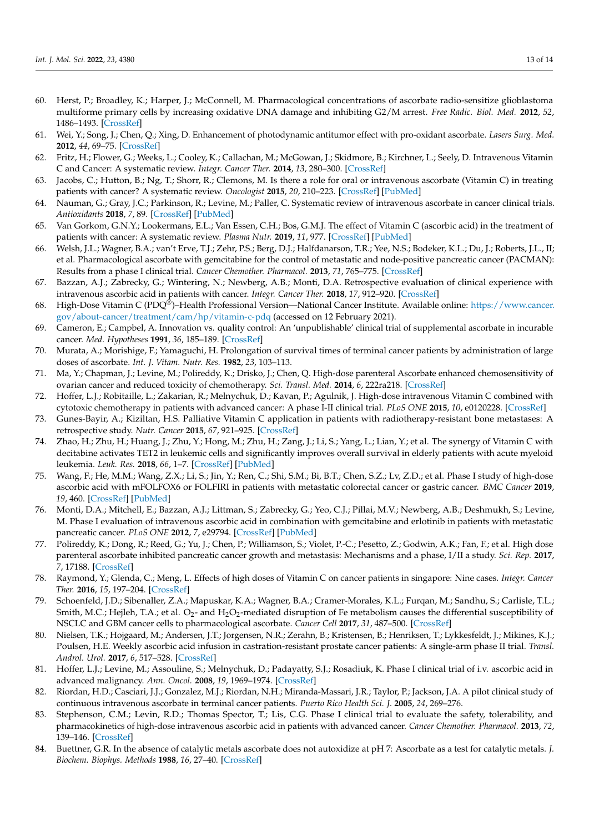- <span id="page-12-0"></span>60. Herst, P.; Broadley, K.; Harper, J.; McConnell, M. Pharmacological concentrations of ascorbate radio-sensitize glioblastoma multiforme primary cells by increasing oxidative DNA damage and inhibiting G2/M arrest. *Free Radic. Biol. Med.* **2012**, *52*, 1486–1493. [\[CrossRef\]](http://doi.org/10.1016/j.freeradbiomed.2012.01.021)
- <span id="page-12-1"></span>61. Wei, Y.; Song, J.; Chen, Q.; Xing, D. Enhancement of photodynamic antitumor effect with pro-oxidant ascorbate. *Lasers Surg. Med.* **2012**, *44*, 69–75. [\[CrossRef\]](http://doi.org/10.1002/lsm.21157)
- <span id="page-12-2"></span>62. Fritz, H.; Flower, G.; Weeks, L.; Cooley, K.; Callachan, M.; McGowan, J.; Skidmore, B.; Kirchner, L.; Seely, D. Intravenous Vitamin C and Cancer: A systematic review. *Integr. Cancer Ther.* **2014**, *13*, 280–300. [\[CrossRef\]](http://doi.org/10.1177/1534735414534463)
- <span id="page-12-7"></span>63. Jacobs, C.; Hutton, B.; Ng, T.; Shorr, R.; Clemons, M. Is there a role for oral or intravenous ascorbate (Vitamin C) in treating patients with cancer? A systematic review. *Oncologist* **2015**, *20*, 210–223. [\[CrossRef\]](http://doi.org/10.1634/theoncologist.2014-0381) [\[PubMed\]](http://www.ncbi.nlm.nih.gov/pubmed/25601965)
- <span id="page-12-8"></span>64. Nauman, G.; Gray, J.C.; Parkinson, R.; Levine, M.; Paller, C. Systematic review of intravenous ascorbate in cancer clinical trials. *Antioxidants* **2018**, *7*, 89. [\[CrossRef\]](http://doi.org/10.3390/antiox7070089) [\[PubMed\]](http://www.ncbi.nlm.nih.gov/pubmed/30002308)
- <span id="page-12-3"></span>65. Van Gorkom, G.N.Y.; Lookermans, E.L.; Van Essen, C.H.; Bos, G.M.J. The effect of Vitamin C (ascorbic acid) in the treatment of patients with cancer: A systematic review. *Plasma Nutr.* **2019**, *11*, 977. [\[CrossRef\]](http://doi.org/10.3390/nu11050977) [\[PubMed\]](http://www.ncbi.nlm.nih.gov/pubmed/31035414)
- <span id="page-12-4"></span>66. Welsh, J.L.; Wagner, B.A.; van't Erve, T.J.; Zehr, P.S.; Berg, D.J.; Halfdanarson, T.R.; Yee, N.S.; Bodeker, K.L.; Du, J.; Roberts, J.L., II; et al. Pharmacological ascorbate with gemcitabine for the control of metastatic and node-positive pancreatic cancer (PACMAN): Results from a phase I clinical trial. *Cancer Chemother. Pharmacol.* **2013**, *71*, 765–775. [\[CrossRef\]](http://doi.org/10.1007/s00280-013-2070-8)
- <span id="page-12-5"></span>67. Bazzan, A.J.; Zabrecky, G.; Wintering, N.; Newberg, A.B.; Monti, D.A. Retrospective evaluation of clinical experience with intravenous ascorbic acid in patients with cancer. *Integr. Cancer Ther.* **2018**, *17*, 912–920. [\[CrossRef\]](http://doi.org/10.1177/1534735418775809)
- <span id="page-12-6"></span>68. High-Dose Vitamin C (PDQ®)–Health Professional Version—National Cancer Institute. Available online: [https://www.cancer.](https://www.cancer.gov/about-cancer/treatment/cam/hp/vitamin-c-pdq) [gov/about-cancer/treatment/cam/hp/vitamin-c-pdq](https://www.cancer.gov/about-cancer/treatment/cam/hp/vitamin-c-pdq) (accessed on 12 February 2021).
- <span id="page-12-9"></span>69. Cameron, E.; Campbel, A. Innovation vs. quality control: An 'unpublishable' clinical trial of supplemental ascorbate in incurable cancer. *Med. Hypotheses* **1991**, *36*, 185–189. [\[CrossRef\]](http://doi.org/10.1016/0306-9877(91)90127-K)
- <span id="page-12-10"></span>70. Murata, A.; Morishige, F.; Yamaguchi, H. Prolongation of survival times of terminal cancer patients by administration of large doses of ascorbate. *Int. J. Vitam. Nutr. Res.* **1982**, *23*, 103–113.
- <span id="page-12-11"></span>71. Ma, Y.; Chapman, J.; Levine, M.; Polireddy, K.; Drisko, J.; Chen, Q. High-dose parenteral Ascorbate enhanced chemosensitivity of ovarian cancer and reduced toxicity of chemotherapy. *Sci. Transl. Med.* **2014**, *6*, 222ra218. [\[CrossRef\]](http://doi.org/10.1126/scitranslmed.3007154)
- <span id="page-12-12"></span>72. Hoffer, L.J.; Robitaille, L.; Zakarian, R.; Melnychuk, D.; Kavan, P.; Agulnik, J. High-dose intravenous Vitamin C combined with cytotoxic chemotherapy in patients with advanced cancer: A phase I-II clinical trial. *PLoS ONE* **2015**, *10*, e0120228. [\[CrossRef\]](http://doi.org/10.1371/journal.pone.0120228)
- <span id="page-12-13"></span>73. Gunes-Bayir, A.; Kiziltan, H.S. Palliative Vitamin C application in patients with radiotherapy-resistant bone metastases: A retrospective study. *Nutr. Cancer* **2015**, *67*, 921–925. [\[CrossRef\]](http://doi.org/10.1080/01635581.2015.1055366)
- <span id="page-12-14"></span>74. Zhao, H.; Zhu, H.; Huang, J.; Zhu, Y.; Hong, M.; Zhu, H.; Zang, J.; Li, S.; Yang, L.; Lian, Y.; et al. The synergy of Vitamin C with decitabine activates TET2 in leukemic cells and significantly improves overall survival in elderly patients with acute myeloid leukemia. *Leuk. Res.* **2018**, *66*, 1–7. [\[CrossRef\]](http://doi.org/10.1016/j.leukres.2017.12.009) [\[PubMed\]](http://www.ncbi.nlm.nih.gov/pubmed/29331774)
- <span id="page-12-15"></span>75. Wang, F.; He, M.M.; Wang, Z.X.; Li, S.; Jin, Y.; Ren, C.; Shi, S.M.; Bi, B.T.; Chen, S.Z.; Lv, Z.D.; et al. Phase I study of high-dose ascorbic acid with mFOLFOX6 or FOLFIRI in patients with metastatic colorectal cancer or gastric cancer. *BMC Cancer* **2019**, *19*, 460. [\[CrossRef\]](http://doi.org/10.1186/s12885-019-5696-z) [\[PubMed\]](http://www.ncbi.nlm.nih.gov/pubmed/31096937)
- <span id="page-12-16"></span>76. Monti, D.A.; Mitchell, E.; Bazzan, A.J.; Littman, S.; Zabrecky, G.; Yeo, C.J.; Pillai, M.V.; Newberg, A.B.; Deshmukh, S.; Levine, M. Phase I evaluation of intravenous ascorbic acid in combination with gemcitabine and erlotinib in patients with metastatic pancreatic cancer. *PLoS ONE* **2012**, *7*, e29794. [\[CrossRef\]](http://doi.org/10.1371/journal.pone.0029794) [\[PubMed\]](http://www.ncbi.nlm.nih.gov/pubmed/22272248)
- <span id="page-12-17"></span>77. Polireddy, K.; Dong, R.; Reed, G.; Yu, J.; Chen, P.; Williamson, S.; Violet, P.-C.; Pesetto, Z.; Godwin, A.K.; Fan, F.; et al. High dose parenteral ascorbate inhibited pancreatic cancer growth and metastasis: Mechanisms and a phase, I/II a study. *Sci. Rep.* **2017**, *7*, 17188. [\[CrossRef\]](http://doi.org/10.1038/s41598-017-17568-8)
- <span id="page-12-18"></span>78. Raymond, Y.; Glenda, C.; Meng, L. Effects of high doses of Vitamin C on cancer patients in singapore: Nine cases. *Integr. Cancer Ther.* **2016**, *15*, 197–204. [\[CrossRef\]](http://doi.org/10.1177/1534735415622010)
- <span id="page-12-19"></span>79. Schoenfeld, J.D.; Sibenaller, Z.A.; Mapuskar, K.A.; Wagner, B.A.; Cramer-Morales, K.L.; Furqan, M.; Sandhu, S.; Carlisle, T.L.; Smith, M.C.; Hejleh, T.A.; et al.  $\rm O_2$ - and  $\rm H_2O_2$ -mediated disruption of Fe metabolism causes the differential susceptibility of NSCLC and GBM cancer cells to pharmacological ascorbate. *Cancer Cell* **2017**, *31*, 487–500. [\[CrossRef\]](http://doi.org/10.1016/j.ccell.2017.02.018)
- <span id="page-12-20"></span>80. Nielsen, T.K.; Hojgaard, M.; Andersen, J.T.; Jorgensen, N.R.; Zerahn, B.; Kristensen, B.; Henriksen, T.; Lykkesfeldt, J.; Mikines, K.J.; Poulsen, H.E. Weekly ascorbic acid infusion in castration-resistant prostate cancer patients: A single-arm phase II trial. *Transl. Androl. Urol.* **2017**, *6*, 517–528. [\[CrossRef\]](http://doi.org/10.21037/tau.2017.04.42)
- <span id="page-12-21"></span>81. Hoffer, L.J.; Levine, M.; Assouline, S.; Melnychuk, D.; Padayatty, S.J.; Rosadiuk, K. Phase I clinical trial of i.v. ascorbic acid in advanced malignancy. *Ann. Oncol.* **2008**, *19*, 1969–1974. [\[CrossRef\]](http://doi.org/10.1093/annonc/mdn377)
- <span id="page-12-22"></span>82. Riordan, H.D.; Casciari, J.J.; Gonzalez, M.J.; Riordan, N.H.; Miranda-Massari, J.R.; Taylor, P.; Jackson, J.A. A pilot clinical study of continuous intravenous ascorbate in terminal cancer patients. *Puerto Rico Health Sci. J.* **2005**, *24*, 269–276.
- <span id="page-12-23"></span>83. Stephenson, C.M.; Levin, R.D.; Thomas Spector, T.; Lis, C.G. Phase I clinical trial to evaluate the safety, tolerability, and pharmacokinetics of high-dose intravenous ascorbic acid in patients with advanced cancer. *Cancer Chemother. Pharmacol.* **2013**, *72*, 139–146. [\[CrossRef\]](http://doi.org/10.1007/s00280-013-2179-9)
- <span id="page-12-24"></span>84. Buettner, G.R. In the absence of catalytic metals ascorbate does not autoxidize at pH 7: Ascorbate as a test for catalytic metals. *J. Biochem. Biophys. Methods* **1988**, *16*, 27–40. [\[CrossRef\]](http://doi.org/10.1016/0165-022X(88)90100-5)